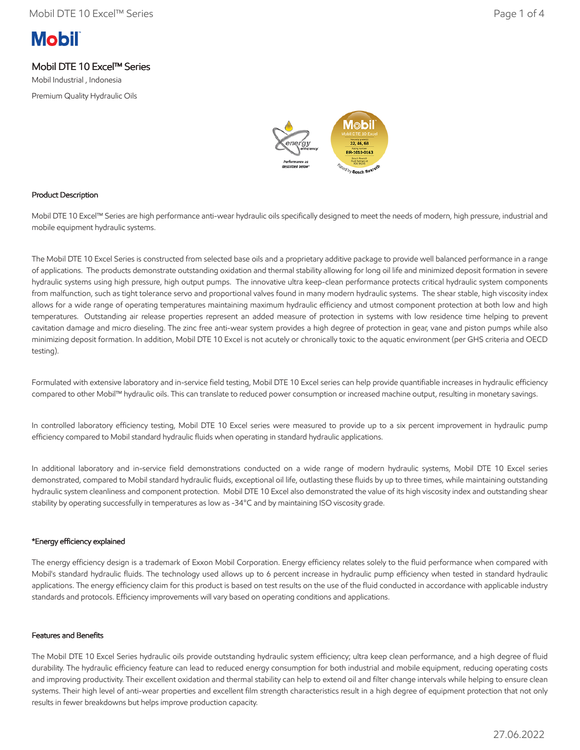# **Mobil**

# Mobil DTE 10 Excel™ Series

Mobil Industrial , Indonesia Premium Quality Hydraulic Oils



### Product Description

Mobil DTE 10 Excel™ Series are high performance anti-wear hydraulic oils specifically designed to meet the needs of modern, high pressure, industrial and mobile equipment hydraulic systems.

The Mobil DTE 10 Excel Series is constructed from selected base oils and a proprietary additive package to provide well balanced performance in a range of applications. The products demonstrate outstanding oxidation and thermal stability allowing for long oil life and minimized deposit formation in severe hydraulic systems using high pressure, high output pumps. The innovative ultra keep-clean performance protects critical hydraulic system components from malfunction, such as tight tolerance servo and proportional valves found in many modern hydraulic systems. The shear stable, high viscosity index allows for a wide range of operating temperatures maintaining maximum hydraulic efficiency and utmost component protection at both low and high temperatures. Outstanding air release properties represent an added measure of protection in systems with low residence time helping to prevent cavitation damage and micro dieseling. The zinc free anti-wear system provides a high degree of protection in gear, vane and piston pumps while also minimizing deposit formation. In addition, Mobil DTE 10 Excel is not acutely or chronically toxic to the aquatic environment (per GHS criteria and OECD testing).

Formulated with extensive laboratory and in-service field testing, Mobil DTE 10 Excel series can help provide quantifiable increases in hydraulic efficiency compared to other Mobil™ hydraulic oils. This can translate to reduced power consumption or increased machine output, resulting in monetary savings.

In controlled laboratory efficiency testing, Mobil DTE 10 Excel series were measured to provide up to a six percent improvement in hydraulic pump efficiency compared to Mobil standard hydraulic fluids when operating in standard hydraulic applications.

In additional laboratory and in-service field demonstrations conducted on a wide range of modern hydraulic systems, Mobil DTE 10 Excel series demonstrated, compared to Mobil standard hydraulic fluids, exceptional oil life, outlasting these fluids by up to three times, while maintaining outstanding hydraulic system cleanliness and component protection. Mobil DTE 10 Excel also demonstrated the value of its high viscosity index and outstanding shear stability by operating successfully in temperatures as low as -34°C and by maintaining ISO viscosity grade.

#### \*Energy efficiency explained

The energy efficiency design is a trademark of Exxon Mobil Corporation. Energy efficiency relates solely to the fluid performance when compared with Mobil's standard hydraulic fluids. The technology used allows up to 6 percent increase in hydraulic pump efficiency when tested in standard hydraulic applications. The energy efficiency claim for this product is based on test results on the use of the fluid conducted in accordance with applicable industry standards and protocols. Efficiency improvements will vary based on operating conditions and applications.

#### Features and Benefits

The Mobil DTE 10 Excel Series hydraulic oils provide outstanding hydraulic system efficiency; ultra keep clean performance, and a high degree of fluid durability. The hydraulic efficiency feature can lead to reduced energy consumption for both industrial and mobile equipment, reducing operating costs and improving productivity. Their excellent oxidation and thermal stability can help to extend oil and filter change intervals while helping to ensure clean systems. Their high level of anti-wear properties and excellent film strength characteristics result in a high degree of equipment protection that not only results in fewer breakdowns but helps improve production capacity.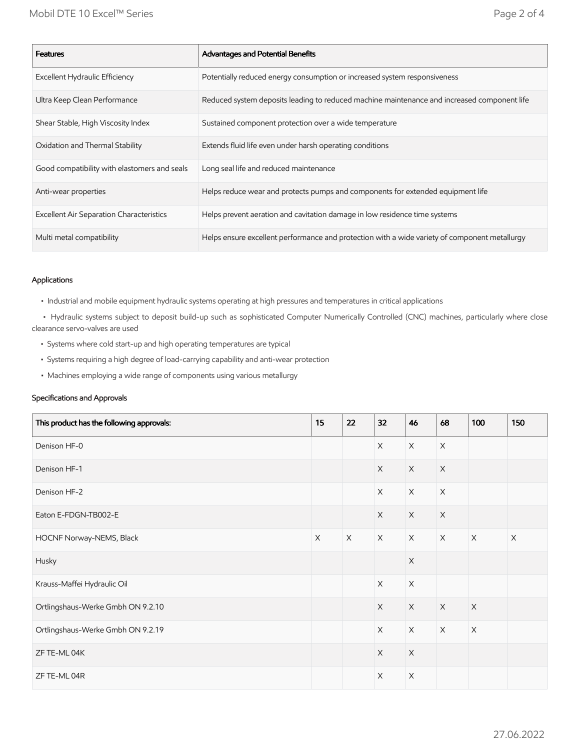| <b>Features</b>                                 | Advantages and Potential Benefits                                                             |
|-------------------------------------------------|-----------------------------------------------------------------------------------------------|
| Excellent Hydraulic Efficiency                  | Potentially reduced energy consumption or increased system responsiveness                     |
| Ultra Keep Clean Performance                    | Reduced system deposits leading to reduced machine maintenance and increased component life   |
| Shear Stable, High Viscosity Index              | Sustained component protection over a wide temperature                                        |
| Oxidation and Thermal Stability                 | Extends fluid life even under harsh operating conditions                                      |
| Good compatibility with elastomers and seals    | Long seal life and reduced maintenance                                                        |
| Anti-wear properties                            | Helps reduce wear and protects pumps and components for extended equipment life               |
| <b>Excellent Air Separation Characteristics</b> | Helps prevent aeration and cavitation damage in low residence time systems                    |
| Multi metal compatibility                       | Helps ensure excellent performance and protection with a wide variety of component metallurgy |

#### Applications

• Industrial and mobile equipment hydraulic systems operating at high pressures and temperatures in critical applications

 • Hydraulic systems subject to deposit build-up such as sophisticated Computer Numerically Controlled (CNC) machines, particularly where close clearance servo-valves are used

- Systems where cold start-up and high operating temperatures are typical
- Systems requiring a high degree of load-carrying capability and anti-wear protection
- Machines employing a wide range of components using various metallurgy

#### Specifications and Approvals

| This product has the following approvals: | 15          | 22 | 32                        | 46          | 68          | 100         | 150         |
|-------------------------------------------|-------------|----|---------------------------|-------------|-------------|-------------|-------------|
| Denison HF-0                              |             |    | $\mathsf X$               | $\mathsf X$ | $\mathsf X$ |             |             |
| Denison HF-1                              |             |    | $\mathsf X$               | $\mathsf X$ | $\mathsf X$ |             |             |
| Denison HF-2                              |             |    | X                         | $\mathsf X$ | $\mathsf X$ |             |             |
| Eaton E-FDGN-TB002-E                      |             |    | $\times$                  | $\times$    | $\mathsf X$ |             |             |
| HOCNF Norway-NEMS, Black                  | $\mathsf X$ | X  | $\mathsf X$               | $\times$    | $\mathsf X$ | $\mathsf X$ | $\mathsf X$ |
| Husky                                     |             |    |                           | $\mathsf X$ |             |             |             |
| Krauss-Maffei Hydraulic Oil               |             |    | $\times$                  | $\mathsf X$ |             |             |             |
| Ortlingshaus-Werke Gmbh ON 9.2.10         |             |    | $\mathsf X$               | $\mathsf X$ | $\mathsf X$ | $\mathsf X$ |             |
| Ortlingshaus-Werke Gmbh ON 9.2.19         |             |    | $\times$                  | $\times$    | $\mathsf X$ | $\mathsf X$ |             |
| ZF TE-ML 04K                              |             |    | $\mathsf X$               | $\mathsf X$ |             |             |             |
| ZF TE-ML 04R                              |             |    | $\boldsymbol{\mathsf{X}}$ | X           |             |             |             |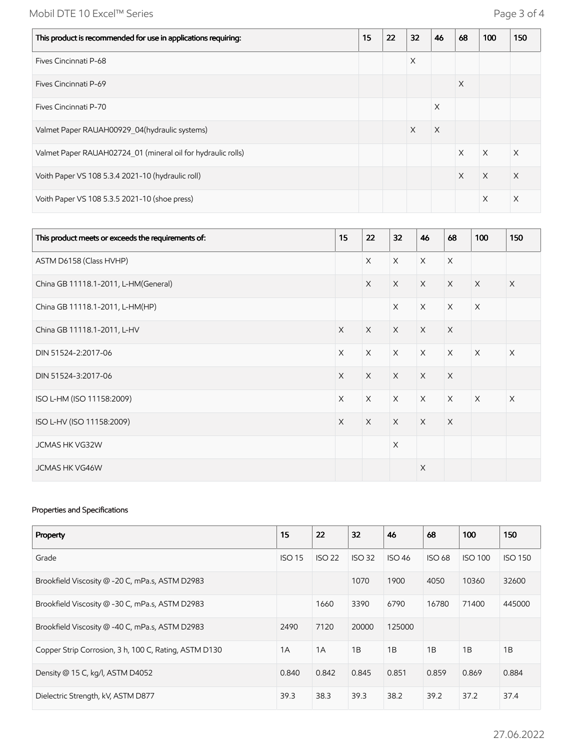# Mobil DTE 10 Excel™ Series **Page 3 of 4**

| This product is recommended for use in applications requiring: | 15 | 22 | 32       | 46       | 68       | 100      | 150 |
|----------------------------------------------------------------|----|----|----------|----------|----------|----------|-----|
| Fives Cincinnati P-68                                          |    |    | $\times$ |          |          |          |     |
| Fives Cincinnati P-69                                          |    |    |          |          | X        |          |     |
| Fives Cincinnati P-70                                          |    |    |          | X        |          |          |     |
| Valmet Paper RAUAH00929 04(hydraulic systems)                  |    |    | X        | $\times$ |          |          |     |
| Valmet Paper RAUAH02724 01 (mineral oil for hydraulic rolls)   |    |    |          |          | $\times$ | $\times$ | X   |
| Voith Paper VS 108 5.3.4 2021-10 (hydraulic roll)              |    |    |          |          | $\times$ | $\times$ | X   |
| Voith Paper VS 108 5.3.5 2021-10 (shoe press)                  |    |    |          |          |          | X        | X   |

| This product meets or exceeds the requirements of: | 15       | 22       | 32       | 46       | 68       | 100         | 150      |
|----------------------------------------------------|----------|----------|----------|----------|----------|-------------|----------|
| ASTM D6158 (Class HVHP)                            |          | $\times$ | $\times$ | $\times$ | $\times$ |             |          |
| China GB 11118.1-2011, L-HM(General)               |          | $\times$ | $\times$ | $\times$ | $\times$ | $\times$    | $\times$ |
| China GB 11118.1-2011, L-HM(HP)                    |          |          | $\times$ | $\times$ | $\times$ | $\times$    |          |
| China GB 11118.1-2011, L-HV                        | $\times$ | $\times$ | $\times$ | $\times$ | $\times$ |             |          |
| DIN 51524-2:2017-06                                | $\times$ | $\times$ | $\times$ | $\times$ | $\times$ | $\times$    | $\times$ |
| DIN 51524-3:2017-06                                | $\times$ | $\times$ | $\times$ | $\times$ | $\times$ |             |          |
| ISO L-HM (ISO 11158:2009)                          | $\times$ | $\times$ | $\times$ | $\times$ | $\times$ | $\mathsf X$ | $\times$ |
| ISO L-HV (ISO 11158:2009)                          | $\times$ | $\times$ | $\times$ | $\times$ | $\times$ |             |          |
| JCMAS HK VG32W                                     |          |          | $\times$ |          |          |             |          |
| <b>JCMAS HK VG46W</b>                              |          |          |          | $\times$ |          |             |          |

## Properties and Specifications

| Property                                              | 15            | 22            | 32            | 46            | 68            | 100            | 150            |
|-------------------------------------------------------|---------------|---------------|---------------|---------------|---------------|----------------|----------------|
| Grade                                                 | <b>ISO 15</b> | <b>ISO 22</b> | <b>ISO 32</b> | <b>ISO 46</b> | <b>ISO 68</b> | <b>ISO 100</b> | <b>ISO 150</b> |
| Brookfield Viscosity @ -20 C, mPa.s, ASTM D2983       |               |               | 1070          | 1900          | 4050          | 10360          | 32600          |
| Brookfield Viscosity @ -30 C, mPa.s, ASTM D2983       |               | 1660          | 3390          | 6790          | 16780         | 71400          | 445000         |
| Brookfield Viscosity @ -40 C, mPa.s, ASTM D2983       | 2490          | 7120          | 20000         | 125000        |               |                |                |
| Copper Strip Corrosion, 3 h, 100 C, Rating, ASTM D130 | 1A            | 1A            | 1B            | 1B            | 1B            | 1B             | 1B             |
| Density @ 15 C, kg/l, ASTM D4052                      | 0.840         | 0.842         | 0.845         | 0.851         | 0.859         | 0.869          | 0.884          |
| Dielectric Strength, kV, ASTM D877                    | 39.3          | 38.3          | 39.3          | 38.2          | 39.2          | 37.2           | 37.4           |